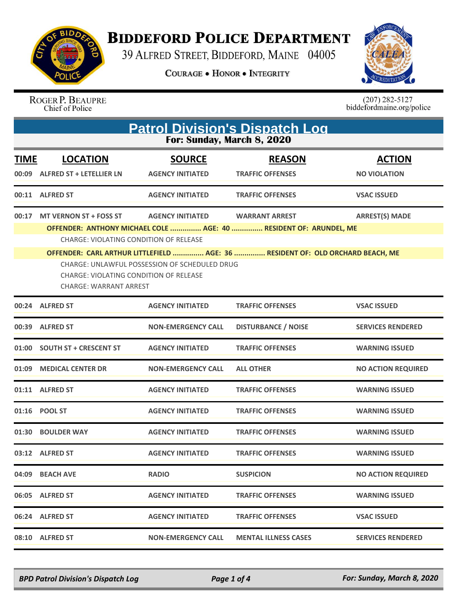

**BIDDEFORD POLICE DEPARTMENT** 

39 ALFRED STREET, BIDDEFORD, MAINE 04005

**COURAGE . HONOR . INTEGRITY** 



ROGER P. BEAUPRE<br>Chief of Police

 $(207)$  282-5127<br>biddefordmaine.org/police

| <b>Patrol Division's Dispatch Log</b><br>For: Sunday, March 8, 2020 |                                                                                                                                                                                                                                                                                                                                                                                                                                                |                                          |                                          |                                      |  |
|---------------------------------------------------------------------|------------------------------------------------------------------------------------------------------------------------------------------------------------------------------------------------------------------------------------------------------------------------------------------------------------------------------------------------------------------------------------------------------------------------------------------------|------------------------------------------|------------------------------------------|--------------------------------------|--|
| <b>TIME</b><br>00:09                                                | <b>LOCATION</b><br><b>ALFRED ST + LETELLIER LN</b>                                                                                                                                                                                                                                                                                                                                                                                             | <b>SOURCE</b><br><b>AGENCY INITIATED</b> | <b>REASON</b><br><b>TRAFFIC OFFENSES</b> | <b>ACTION</b><br><b>NO VIOLATION</b> |  |
|                                                                     | 00:11 ALFRED ST                                                                                                                                                                                                                                                                                                                                                                                                                                | <b>AGENCY INITIATED</b>                  | <b>TRAFFIC OFFENSES</b>                  | <b>VSAC ISSUED</b>                   |  |
| 00:17                                                               | <b>MT VERNON ST + FOSS ST</b><br><b>AGENCY INITIATED</b><br><b>WARRANT ARREST</b><br><b>ARREST(S) MADE</b><br>OFFENDER: ANTHONY MICHAEL COLE  AGE: 40  RESIDENT OF: ARUNDEL, ME<br>CHARGE: VIOLATING CONDITION OF RELEASE<br>OFFENDER: CARL ARTHUR LITTLEFIELD  AGE: 36  RESIDENT OF: OLD ORCHARD BEACH, ME<br><b>CHARGE: UNLAWFUL POSSESSION OF SCHEDULED DRUG</b><br>CHARGE: VIOLATING CONDITION OF RELEASE<br><b>CHARGE: WARRANT ARREST</b> |                                          |                                          |                                      |  |
|                                                                     | 00:24 ALFRED ST                                                                                                                                                                                                                                                                                                                                                                                                                                | <b>AGENCY INITIATED</b>                  | <b>TRAFFIC OFFENSES</b>                  | <b>VSAC ISSUED</b>                   |  |
| 00:39                                                               | <b>ALFRED ST</b>                                                                                                                                                                                                                                                                                                                                                                                                                               | <b>NON-EMERGENCY CALL</b>                | <b>DISTURBANCE / NOISE</b>               | <b>SERVICES RENDERED</b>             |  |
| 01:00                                                               | <b>SOUTH ST + CRESCENT ST</b>                                                                                                                                                                                                                                                                                                                                                                                                                  | <b>AGENCY INITIATED</b>                  | <b>TRAFFIC OFFENSES</b>                  | <b>WARNING ISSUED</b>                |  |
| 01:09                                                               | <b>MEDICAL CENTER DR</b>                                                                                                                                                                                                                                                                                                                                                                                                                       | <b>NON-EMERGENCY CALL</b>                | <b>ALL OTHER</b>                         | <b>NO ACTION REQUIRED</b>            |  |
|                                                                     | 01:11 ALFRED ST                                                                                                                                                                                                                                                                                                                                                                                                                                | <b>AGENCY INITIATED</b>                  | <b>TRAFFIC OFFENSES</b>                  | <b>WARNING ISSUED</b>                |  |
|                                                                     | 01:16 POOL ST                                                                                                                                                                                                                                                                                                                                                                                                                                  | <b>AGENCY INITIATED</b>                  | <b>TRAFFIC OFFENSES</b>                  | <b>WARNING ISSUED</b>                |  |
| 01:30                                                               | <b>BOULDER WAY</b>                                                                                                                                                                                                                                                                                                                                                                                                                             | <b>AGENCY INITIATED</b>                  | <b>TRAFFIC OFFENSES</b>                  | <b>WARNING ISSUED</b>                |  |
|                                                                     | 03:12 ALFRED ST                                                                                                                                                                                                                                                                                                                                                                                                                                | <b>AGENCY INITIATED</b>                  | <b>TRAFFIC OFFENSES</b>                  | <b>WARNING ISSUED</b>                |  |
| 04:09                                                               | <b>BEACH AVE</b>                                                                                                                                                                                                                                                                                                                                                                                                                               | <b>RADIO</b>                             | <b>SUSPICION</b>                         | <b>NO ACTION REQUIRED</b>            |  |
|                                                                     | 06:05 ALFRED ST                                                                                                                                                                                                                                                                                                                                                                                                                                | <b>AGENCY INITIATED</b>                  | <b>TRAFFIC OFFENSES</b>                  | <b>WARNING ISSUED</b>                |  |
|                                                                     | 06:24 ALFRED ST                                                                                                                                                                                                                                                                                                                                                                                                                                | <b>AGENCY INITIATED</b>                  | <b>TRAFFIC OFFENSES</b>                  | <b>VSAC ISSUED</b>                   |  |
|                                                                     | 08:10 ALFRED ST                                                                                                                                                                                                                                                                                                                                                                                                                                | NON-EMERGENCY CALL                       | <b>MENTAL ILLNESS CASES</b>              | <b>SERVICES RENDERED</b>             |  |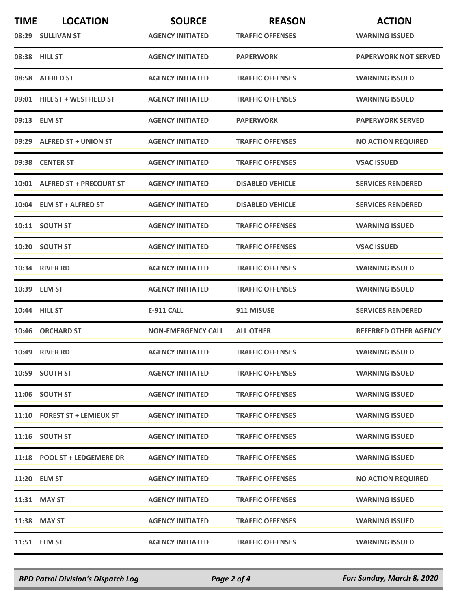| <b>TIME</b> | <b>LOCATION</b>               | <b>SOURCE</b>             | <b>REASON</b>           | <b>ACTION</b>                |
|-------------|-------------------------------|---------------------------|-------------------------|------------------------------|
|             | 08:29 SULLIVAN ST             | <b>AGENCY INITIATED</b>   | <b>TRAFFIC OFFENSES</b> | <b>WARNING ISSUED</b>        |
|             | 08:38 HILL ST                 | <b>AGENCY INITIATED</b>   | <b>PAPERWORK</b>        | <b>PAPERWORK NOT SERVED</b>  |
|             | 08:58 ALFRED ST               | <b>AGENCY INITIATED</b>   | <b>TRAFFIC OFFENSES</b> | <b>WARNING ISSUED</b>        |
|             | 09:01 HILL ST + WESTFIELD ST  | <b>AGENCY INITIATED</b>   | <b>TRAFFIC OFFENSES</b> | <b>WARNING ISSUED</b>        |
|             | 09:13 ELM ST                  | <b>AGENCY INITIATED</b>   | <b>PAPERWORK</b>        | <b>PAPERWORK SERVED</b>      |
|             | 09:29 ALFRED ST + UNION ST    | <b>AGENCY INITIATED</b>   | <b>TRAFFIC OFFENSES</b> | <b>NO ACTION REQUIRED</b>    |
|             | 09:38 CENTER ST               | <b>AGENCY INITIATED</b>   | <b>TRAFFIC OFFENSES</b> | <b>VSAC ISSUED</b>           |
|             | 10:01 ALFRED ST + PRECOURT ST | <b>AGENCY INITIATED</b>   | <b>DISABLED VEHICLE</b> | <b>SERVICES RENDERED</b>     |
|             | 10:04 ELM ST + ALFRED ST      | <b>AGENCY INITIATED</b>   | <b>DISABLED VEHICLE</b> | <b>SERVICES RENDERED</b>     |
|             | 10:11 SOUTH ST                | <b>AGENCY INITIATED</b>   | <b>TRAFFIC OFFENSES</b> | <b>WARNING ISSUED</b>        |
|             | 10:20 SOUTH ST                | <b>AGENCY INITIATED</b>   | <b>TRAFFIC OFFENSES</b> | <b>VSAC ISSUED</b>           |
|             | 10:34 RIVER RD                | <b>AGENCY INITIATED</b>   | <b>TRAFFIC OFFENSES</b> | <b>WARNING ISSUED</b>        |
|             | 10:39 ELM ST                  | <b>AGENCY INITIATED</b>   | <b>TRAFFIC OFFENSES</b> | <b>WARNING ISSUED</b>        |
|             | 10:44 HILL ST                 | <b>E-911 CALL</b>         | 911 MISUSE              | <b>SERVICES RENDERED</b>     |
|             | 10:46 ORCHARD ST              | <b>NON-EMERGENCY CALL</b> | <b>ALL OTHER</b>        | <b>REFERRED OTHER AGENCY</b> |
|             | <b>10:49 RIVER RD</b>         | <b>AGENCY INITIATED</b>   | <b>TRAFFIC OFFENSES</b> | <b>WARNING ISSUED</b>        |
|             | 10:59 SOUTH ST                | <b>AGENCY INITIATED</b>   | <b>TRAFFIC OFFENSES</b> | <b>WARNING ISSUED</b>        |
|             | 11:06 SOUTH ST                | <b>AGENCY INITIATED</b>   | <b>TRAFFIC OFFENSES</b> | <b>WARNING ISSUED</b>        |
|             | 11:10 FOREST ST + LEMIEUX ST  | <b>AGENCY INITIATED</b>   | <b>TRAFFIC OFFENSES</b> | <b>WARNING ISSUED</b>        |
|             | 11:16 SOUTH ST                | <b>AGENCY INITIATED</b>   | <b>TRAFFIC OFFENSES</b> | <b>WARNING ISSUED</b>        |
|             | 11:18 POOL ST + LEDGEMERE DR  | <b>AGENCY INITIATED</b>   | <b>TRAFFIC OFFENSES</b> | <b>WARNING ISSUED</b>        |
|             | 11:20 ELM ST                  | <b>AGENCY INITIATED</b>   | <b>TRAFFIC OFFENSES</b> | <b>NO ACTION REQUIRED</b>    |
|             | 11:31 MAY ST                  | <b>AGENCY INITIATED</b>   | <b>TRAFFIC OFFENSES</b> | <b>WARNING ISSUED</b>        |
|             | 11:38 MAY ST                  | <b>AGENCY INITIATED</b>   | <b>TRAFFIC OFFENSES</b> | <b>WARNING ISSUED</b>        |
|             | 11:51 ELM ST                  | <b>AGENCY INITIATED</b>   | <b>TRAFFIC OFFENSES</b> | <b>WARNING ISSUED</b>        |

*BPD Patrol Division's Dispatch Log Page 2 of 4 For: Sunday, March 8, 2020*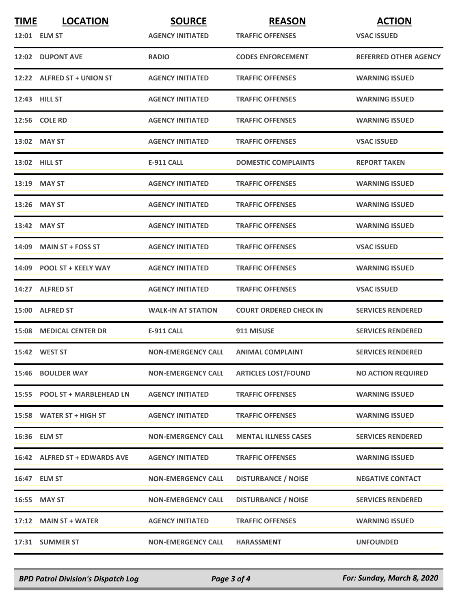| <b>TIME</b> | <b>LOCATION</b>                | <b>SOURCE</b>             | <b>REASON</b>                 | <b>ACTION</b>                |
|-------------|--------------------------------|---------------------------|-------------------------------|------------------------------|
|             | 12:01 ELM ST                   | <b>AGENCY INITIATED</b>   | <b>TRAFFIC OFFENSES</b>       | <b>VSAC ISSUED</b>           |
|             | 12:02 DUPONT AVE               | <b>RADIO</b>              | <b>CODES ENFORCEMENT</b>      | <b>REFERRED OTHER AGENCY</b> |
|             | 12:22 ALFRED ST + UNION ST     | <b>AGENCY INITIATED</b>   | <b>TRAFFIC OFFENSES</b>       | <b>WARNING ISSUED</b>        |
|             | 12:43 HILL ST                  | <b>AGENCY INITIATED</b>   | <b>TRAFFIC OFFENSES</b>       | <b>WARNING ISSUED</b>        |
|             | <b>12:56 COLE RD</b>           | <b>AGENCY INITIATED</b>   | <b>TRAFFIC OFFENSES</b>       | <b>WARNING ISSUED</b>        |
|             | 13:02 MAY ST                   | <b>AGENCY INITIATED</b>   | <b>TRAFFIC OFFENSES</b>       | <b>VSAC ISSUED</b>           |
|             | <b>13:02 HILL ST</b>           | <b>E-911 CALL</b>         | <b>DOMESTIC COMPLAINTS</b>    | <b>REPORT TAKEN</b>          |
|             | 13:19 MAY ST                   | <b>AGENCY INITIATED</b>   | <b>TRAFFIC OFFENSES</b>       | <b>WARNING ISSUED</b>        |
|             | 13:26 MAY ST                   | <b>AGENCY INITIATED</b>   | <b>TRAFFIC OFFENSES</b>       | <b>WARNING ISSUED</b>        |
|             | 13:42 MAY ST                   | <b>AGENCY INITIATED</b>   | <b>TRAFFIC OFFENSES</b>       | <b>WARNING ISSUED</b>        |
|             | $14:09$ MAIN ST + FOSS ST      | <b>AGENCY INITIATED</b>   | <b>TRAFFIC OFFENSES</b>       | <b>VSAC ISSUED</b>           |
|             | 14:09 POOL ST + KEELY WAY      | <b>AGENCY INITIATED</b>   | <b>TRAFFIC OFFENSES</b>       | <b>WARNING ISSUED</b>        |
|             | 14:27 ALFRED ST                | <b>AGENCY INITIATED</b>   | <b>TRAFFIC OFFENSES</b>       | <b>VSAC ISSUED</b>           |
|             | 15:00 ALFRED ST                | <b>WALK-IN AT STATION</b> | <b>COURT ORDERED CHECK IN</b> | <b>SERVICES RENDERED</b>     |
|             | <b>15:08 MEDICAL CENTER DR</b> | <b>E-911 CALL</b>         | 911 MISUSE                    | <b>SERVICES RENDERED</b>     |
|             | 15:42 WEST ST                  | <b>NON-EMERGENCY CALL</b> | <b>ANIMAL COMPLAINT</b>       | <b>SERVICES RENDERED</b>     |
|             | 15:46 BOULDER WAY              | <b>NON-EMERGENCY CALL</b> | <b>ARTICLES LOST/FOUND</b>    | <b>NO ACTION REQUIRED</b>    |
|             | 15:55 POOL ST + MARBLEHEAD LN  | <b>AGENCY INITIATED</b>   | <b>TRAFFIC OFFENSES</b>       | <b>WARNING ISSUED</b>        |
|             | 15:58 WATER ST + HIGH ST       | <b>AGENCY INITIATED</b>   | <b>TRAFFIC OFFENSES</b>       | <b>WARNING ISSUED</b>        |
|             | 16:36 ELM ST                   | <b>NON-EMERGENCY CALL</b> | <b>MENTAL ILLNESS CASES</b>   | <b>SERVICES RENDERED</b>     |
|             | 16:42 ALFRED ST + EDWARDS AVE  | <b>AGENCY INITIATED</b>   | <b>TRAFFIC OFFENSES</b>       | <b>WARNING ISSUED</b>        |
|             | 16:47 ELM ST                   | <b>NON-EMERGENCY CALL</b> | <b>DISTURBANCE / NOISE</b>    | <b>NEGATIVE CONTACT</b>      |
|             | 16:55 MAY ST                   | <b>NON-EMERGENCY CALL</b> | <b>DISTURBANCE / NOISE</b>    | <b>SERVICES RENDERED</b>     |
|             | 17:12 MAIN ST + WATER          | <b>AGENCY INITIATED</b>   | <b>TRAFFIC OFFENSES</b>       | <b>WARNING ISSUED</b>        |
|             | 17:31 SUMMER ST                | <b>NON-EMERGENCY CALL</b> | <b>HARASSMENT</b>             | <b>UNFOUNDED</b>             |

*BPD Patrol Division's Dispatch Log Page 3 of 4 For: Sunday, March 8, 2020*